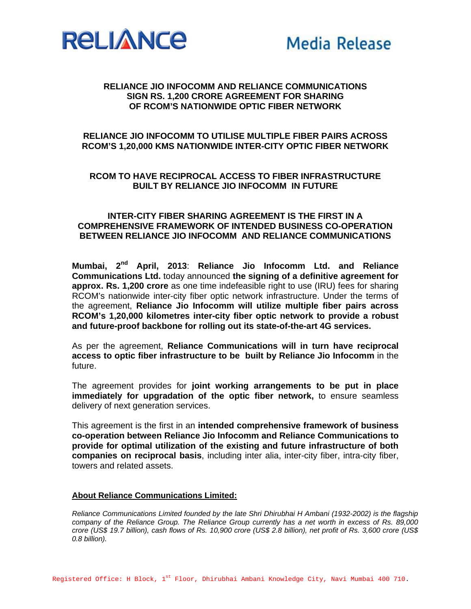

## **RELIANCE JIO INFOCOMM AND RELIANCE COMMUNICATIONS SIGN RS. 1,200 CRORE AGREEMENT FOR SHARING OF RCOM'S NATIONWIDE OPTIC FIBER NETWORK**

# **RELIANCE JIO INFOCOMM TO UTILISE MULTIPLE FIBER PAIRS ACROSS RCOM'S 1,20,000 KMS NATIONWIDE INTER-CITY OPTIC FIBER NETWORK**

## **RCOM TO HAVE RECIPROCAL ACCESS TO FIBER INFRASTRUCTURE BUILT BY RELIANCE JIO INFOCOMM IN FUTURE**

#### **INTER-CITY FIBER SHARING AGREEMENT IS THE FIRST IN A COMPREHENSIVE FRAMEWORK OF INTENDED BUSINESS CO-OPERATION BETWEEN RELIANCE JIO INFOCOMM AND RELIANCE COMMUNICATIONS**

**Mumbai, 2nd April, 2013**: **Reliance Jio Infocomm Ltd. and Reliance Communications Ltd.** today announced **the signing of a definitive agreement for approx. Rs. 1,200 crore** as one time indefeasible right to use (IRU) fees for sharing RCOM's nationwide inter-city fiber optic network infrastructure. Under the terms of the agreement, **Reliance Jio Infocomm will utilize multiple fiber pairs across RCOM's 1,20,000 kilometres inter-city fiber optic network to provide a robust and future-proof backbone for rolling out its state-of-the-art 4G services.**

As per the agreement, **Reliance Communications will in turn have reciprocal access to optic fiber infrastructure to be built by Reliance Jio Infocomm** in the future.

The agreement provides for **joint working arrangements to be put in place immediately for upgradation of the optic fiber network,** to ensure seamless delivery of next generation services.

This agreement is the first in an **intended comprehensive framework of business co-operation between Reliance Jio Infocomm and Reliance Communications to provide for optimal utilization of the existing and future infrastructure of both companies on reciprocal basis**, including inter alia, inter-city fiber, intra-city fiber, towers and related assets.

#### **About Reliance Communications Limited:**

*Reliance Communications Limited founded by the late Shri Dhirubhai H Ambani (1932-2002) is the flagship company of the Reliance Group. The Reliance Group currently has a net worth in excess of Rs. 89,000 crore (US\$ 19.7 billion), cash flows of Rs. 10,900 crore (US\$ 2.8 billion), net profit of Rs. 3,600 crore (US\$ 0.8 billion).*